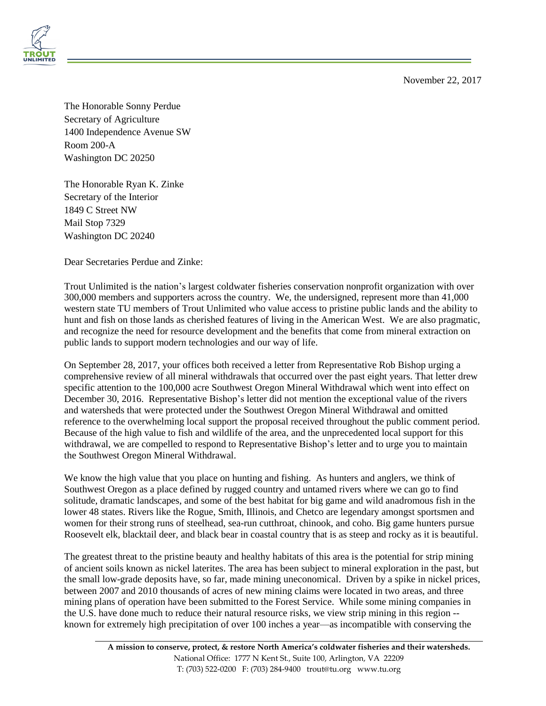November 22, 2017



The Honorable Sonny Perdue Secretary of Agriculture 1400 Independence Avenue SW Room 200-A Washington DC 20250

The Honorable Ryan K. Zinke Secretary of the Interior 1849 C Street NW Mail Stop 7329 Washington DC 20240

Dear Secretaries Perdue and Zinke:

Trout Unlimited is the nation's largest coldwater fisheries conservation nonprofit organization with over 300,000 members and supporters across the country. We, the undersigned, represent more than 41,000 western state TU members of Trout Unlimited who value access to pristine public lands and the ability to hunt and fish on those lands as cherished features of living in the American West. We are also pragmatic, and recognize the need for resource development and the benefits that come from mineral extraction on public lands to support modern technologies and our way of life.

On September 28, 2017, your offices both received a letter from Representative Rob Bishop urging a comprehensive review of all mineral withdrawals that occurred over the past eight years. That letter drew specific attention to the 100,000 acre Southwest Oregon Mineral Withdrawal which went into effect on December 30, 2016. Representative Bishop's letter did not mention the exceptional value of the rivers and watersheds that were protected under the Southwest Oregon Mineral Withdrawal and omitted reference to the overwhelming local support the proposal received throughout the public comment period. Because of the high value to fish and wildlife of the area, and the unprecedented local support for this withdrawal, we are compelled to respond to Representative Bishop's letter and to urge you to maintain the Southwest Oregon Mineral Withdrawal.

We know the high value that you place on hunting and fishing. As hunters and anglers, we think of Southwest Oregon as a place defined by rugged country and untamed rivers where we can go to find solitude, dramatic landscapes, and some of the best habitat for big game and wild anadromous fish in the lower 48 states. Rivers like the Rogue, Smith, Illinois, and Chetco are legendary amongst sportsmen and women for their strong runs of steelhead, sea-run cutthroat, chinook, and coho. Big game hunters pursue Roosevelt elk, blacktail deer, and black bear in coastal country that is as steep and rocky as it is beautiful.

The greatest threat to the pristine beauty and healthy habitats of this area is the potential for strip mining of ancient soils known as nickel laterites. The area has been subject to mineral exploration in the past, but the small low-grade deposits have, so far, made mining uneconomical. Driven by a spike in nickel prices, between 2007 and 2010 thousands of acres of new mining claims were located in two areas, and three mining plans of operation have been submitted to the Forest Service. While some mining companies in the U.S. have done much to reduce their natural resource risks, we view strip mining in this region - known for extremely high precipitation of over 100 inches a year—as incompatible with conserving the